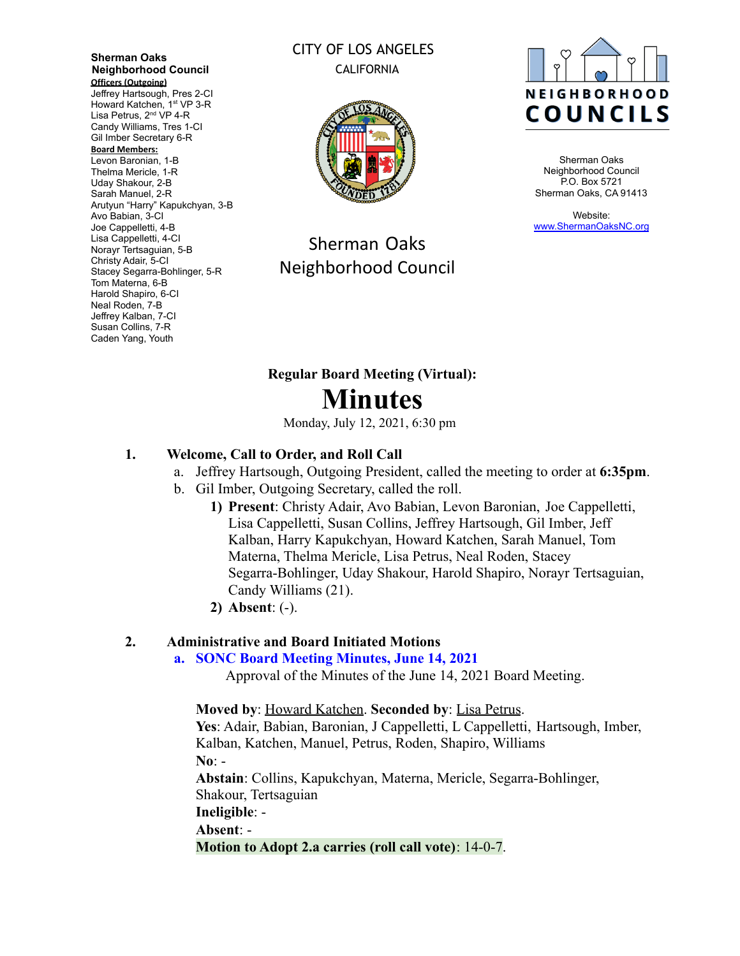**Sherman Oaks Neighborhood Council Officers (Outgoing)** Jeffrey Hartsough, Pres 2-CI

Howard Katchen, 1<sup>st</sup> VP 3-R Lisa Petrus, 2<sup>nd</sup> VP 4-R Candy Williams, Tres 1-CI Gil Imber Secretary 6-R

#### **Board Members:**

Levon Baronian, 1-B Thelma Mericle, 1-R Uday Shakour, 2-B Sarah Manuel, 2-R Arutyun "Harry" Kapukchyan, 3-B Avo Babian, 3-CI Joe Cappelletti, 4-B Lisa Cappelletti, 4-CI Norayr Tertsaguian, 5-B Christy Adair, 5-CI Stacey Segarra-Bohlinger, 5-R Tom Materna, 6-B Harold Shapiro, 6-CI Neal Roden, 7-B Jeffrey Kalban, 7-CI Susan Collins, 7-R Caden Yang, Youth

## CITY OF LOS ANGELES CALIFORNIA



## Sherman Oaks Neighborhood Council



Sherman Oaks Neighborhood Council P.O. Box 5721 Sherman Oaks, CA 91413

Website: [www.ShermanOaksNC.org](http://www.shermanoaksnc.org)

# **Regular Board Meeting (Virtual): Minutes**

Monday, July 12, 2021, 6:30 pm

#### **1. Welcome, Call to Order, and Roll Call**

- a. Jeffrey Hartsough, Outgoing President, called the meeting to order at **6:35pm**.
- b. Gil Imber, Outgoing Secretary, called the roll.
	- **1) Present**: Christy Adair, Avo Babian, Levon Baronian, Joe Cappelletti, Lisa Cappelletti, Susan Collins, Jeffrey Hartsough, Gil Imber, Jeff Kalban, Harry Kapukchyan, Howard Katchen, Sarah Manuel, Tom Materna, Thelma Mericle, Lisa Petrus, Neal Roden, Stacey Segarra-Bohlinger, Uday Shakour, Harold Shapiro, Norayr Tertsaguian, Candy Williams (21).
	- **2) Absent**: (-).

#### **2. Administrative and Board Initiated Motions**

#### **a. SONC Board Meeting Minutes, June 14, 2021**

Approval of the Minutes of the June 14, 2021 Board Meeting.

**Moved by**: Howard Katchen. **Seconded by**: Lisa Petrus.

**Yes**: Adair, Babian, Baronian, J Cappelletti, L Cappelletti, Hartsough, Imber, Kalban, Katchen, Manuel, Petrus, Roden, Shapiro, Williams **No**: -

**Abstain**: Collins, Kapukchyan, Materna, Mericle, Segarra-Bohlinger, Shakour, Tertsaguian

**Ineligible**: -

**Absent**: -

**Motion to Adopt 2.a carries (roll call vote)**: 14-0-7.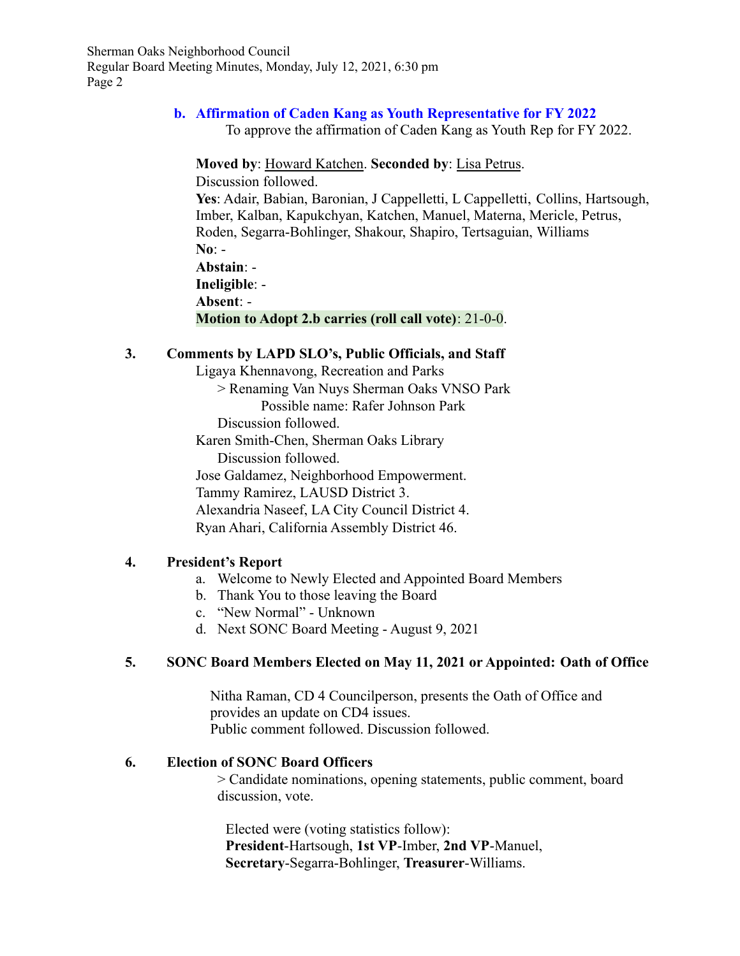# **b. Affirmation of Caden Kang as Youth Representative for FY 2022**

To approve the affirmation of Caden Kang as Youth Rep for FY 2022.

**Moved by**: Howard Katchen. **Seconded by**: Lisa Petrus.

Discussion followed.

**Yes**: Adair, Babian, Baronian, J Cappelletti, L Cappelletti, Collins, Hartsough, Imber, Kalban, Kapukchyan, Katchen, Manuel, Materna, Mericle, Petrus, Roden, Segarra-Bohlinger, Shakour, Shapiro, Tertsaguian, Williams **No**: - **Abstain**: -

**Ineligible**: -

**Absent**: -

**Motion to Adopt 2.b carries (roll call vote)**: 21-0-0.

#### **3. Comments by LAPD SLO's, Public Officials, and Staff**

Ligaya Khennavong, Recreation and Parks

> Renaming Van Nuys Sherman Oaks VNSO Park Possible name: Rafer Johnson Park

Discussion followed.

Karen Smith-Chen, Sherman Oaks Library Discussion followed.

Jose Galdamez, Neighborhood Empowerment.

Tammy Ramirez, LAUSD District 3.

Alexandria Naseef, LA City Council District 4.

Ryan Ahari, California Assembly District 46.

## **4. President's Report**

- a. Welcome to Newly Elected and Appointed Board Members
- b. Thank You to those leaving the Board
- c. "New Normal" Unknown
- d. Next SONC Board Meeting August 9, 2021

## **5. SONC Board Members Elected on May 11, 2021 or Appointed: Oath of Office**

Nitha Raman, CD 4 Councilperson, presents the Oath of Office and provides an update on CD4 issues. Public comment followed. Discussion followed.

#### **6. Election of SONC Board Officers**

> Candidate nominations, opening statements, public comment, board discussion, vote.

Elected were (voting statistics follow): **President**-Hartsough, **1st VP**-Imber, **2nd VP**-Manuel, **Secretary**-Segarra-Bohlinger, **Treasurer**-Williams.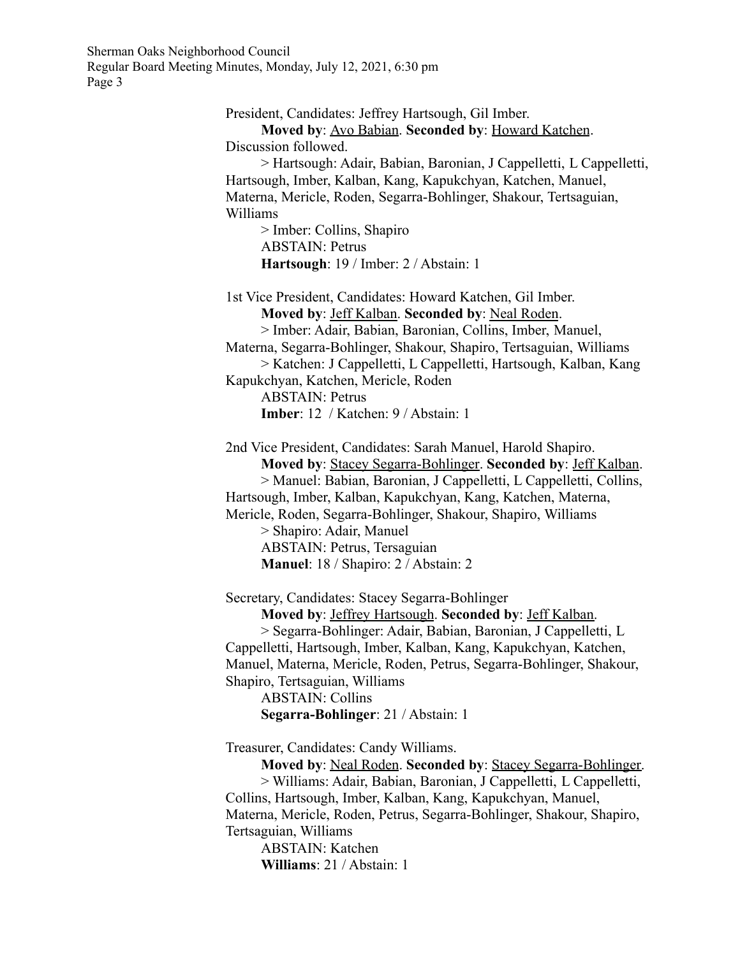> President, Candidates: Jeffrey Hartsough, Gil Imber. **Moved by**: Avo Babian. **Seconded by**: Howard Katchen. Discussion followed. > Hartsough: Adair, Babian, Baronian, J Cappelletti, L Cappelletti, Hartsough, Imber, Kalban, Kang, Kapukchyan, Katchen, Manuel, Materna, Mericle, Roden, Segarra-Bohlinger, Shakour, Tertsaguian, Williams > Imber: Collins, Shapiro ABSTAIN: Petrus **Hartsough**: 19 / Imber: 2 / Abstain: 1 1st Vice President, Candidates: Howard Katchen, Gil Imber. **Moved by**: Jeff Kalban. **Seconded by**: Neal Roden. > Imber: Adair, Babian, Baronian, Collins, Imber, Manuel, Materna, Segarra-Bohlinger, Shakour, Shapiro, Tertsaguian, Williams > Katchen: J Cappelletti, L Cappelletti, Hartsough, Kalban, Kang Kapukchyan, Katchen, Mericle, Roden ABSTAIN: Petrus **Imber**: 12 / Katchen: 9 / Abstain: 1 2nd Vice President, Candidates: Sarah Manuel, Harold Shapiro. **Moved by**: Stacey Segarra-Bohlinger. **Seconded by**: Jeff Kalban. > Manuel: Babian, Baronian, J Cappelletti, L Cappelletti, Collins, Hartsough, Imber, Kalban, Kapukchyan, Kang, Katchen, Materna, Mericle, Roden, Segarra-Bohlinger, Shakour, Shapiro, Williams > Shapiro: Adair, Manuel ABSTAIN: Petrus, Tersaguian **Manuel**: 18 / Shapiro: 2 / Abstain: 2 Secretary, Candidates: Stacey Segarra-Bohlinger **Moved by**: Jeffrey Hartsough. **Seconded by**: Jeff Kalban. > Segarra-Bohlinger: Adair, Babian, Baronian, J Cappelletti, L Cappelletti, Hartsough, Imber, Kalban, Kang, Kapukchyan, Katchen, Manuel, Materna, Mericle, Roden, Petrus, Segarra-Bohlinger, Shakour, Shapiro, Tertsaguian, Williams ABSTAIN: Collins **Segarra-Bohlinger**: 21 / Abstain: 1 Treasurer, Candidates: Candy Williams. **Moved by**: Neal Roden. **Seconded by**: Stacey Segarra-Bohlinger. > Williams: Adair, Babian, Baronian, J Cappelletti, L Cappelletti, Collins, Hartsough, Imber, Kalban, Kang, Kapukchyan, Manuel, Materna, Mericle, Roden, Petrus, Segarra-Bohlinger, Shakour, Shapiro, Tertsaguian, Williams ABSTAIN: Katchen

**Williams**: 21 / Abstain: 1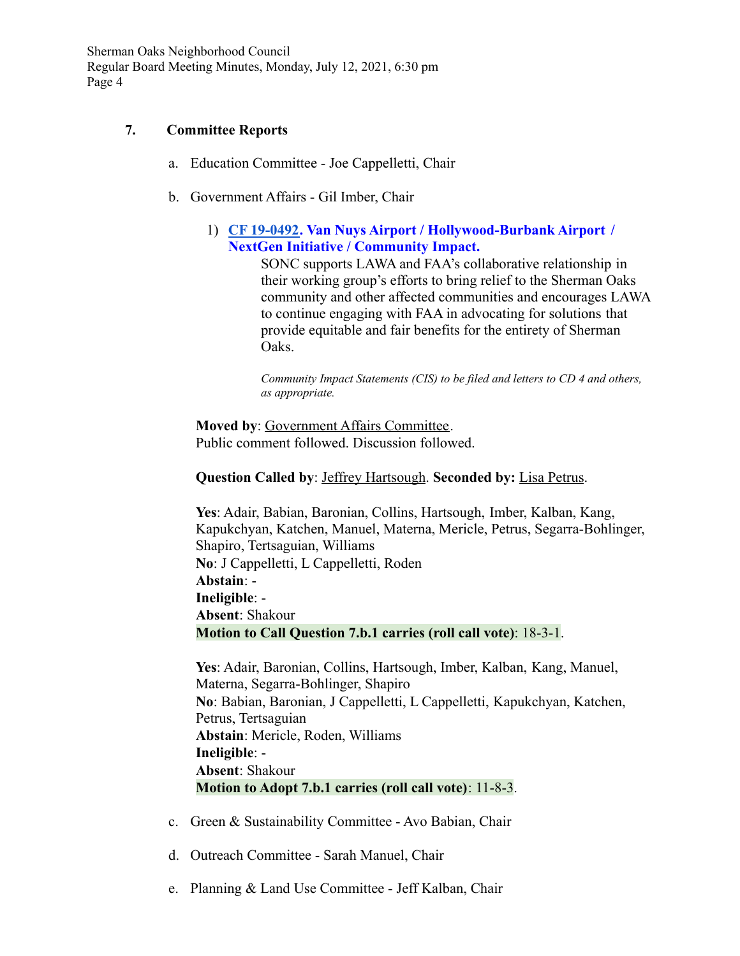#### **7. Committee Reports**

- a. Education Committee Joe Cappelletti, Chair
- b. Government Affairs Gil Imber, Chair
	- 1) **[CF 19-0492.](https://cityclerk.lacity.org/lacityclerkconnect/index.cfm?fa=ccfi.viewrecord&cfnumber=19-0492) Van Nuys Airport / Hollywood-Burbank Airport / NextGen Initiative / Community Impact.**

SONC supports LAWA and FAA's collaborative relationship in their working group's efforts to bring relief to the Sherman Oaks community and other affected communities and encourages LAWA to continue engaging with FAA in advocating for solutions that provide equitable and fair benefits for the entirety of Sherman Oaks.

*Community Impact Statements (CIS) to be filed and letters to CD 4 and others, as appropriate.*

**Moved by**: Government Affairs Committee. Public comment followed. Discussion followed.

#### **Question Called by**: Jeffrey Hartsough. **Seconded by:** Lisa Petrus.

**Yes**: Adair, Babian, Baronian, Collins, Hartsough, Imber, Kalban, Kang, Kapukchyan, Katchen, Manuel, Materna, Mericle, Petrus, Segarra-Bohlinger, Shapiro, Tertsaguian, Williams **No**: J Cappelletti, L Cappelletti, Roden **Abstain**: - **Ineligible**: - **Absent**: Shakour **Motion to Call Question 7.b.1 carries (roll call vote)**: 18-3-1.

**Yes**: Adair, Baronian, Collins, Hartsough, Imber, Kalban, Kang, Manuel, Materna, Segarra-Bohlinger, Shapiro **No**: Babian, Baronian, J Cappelletti, L Cappelletti, Kapukchyan, Katchen, Petrus, Tertsaguian **Abstain**: Mericle, Roden, Williams **Ineligible**: - **Absent**: Shakour **Motion to Adopt 7.b.1 carries (roll call vote)**: 11-8-3.

- c. Green & Sustainability Committee Avo Babian, Chair
- d. Outreach Committee Sarah Manuel, Chair
- e. Planning & Land Use Committee Jeff Kalban, Chair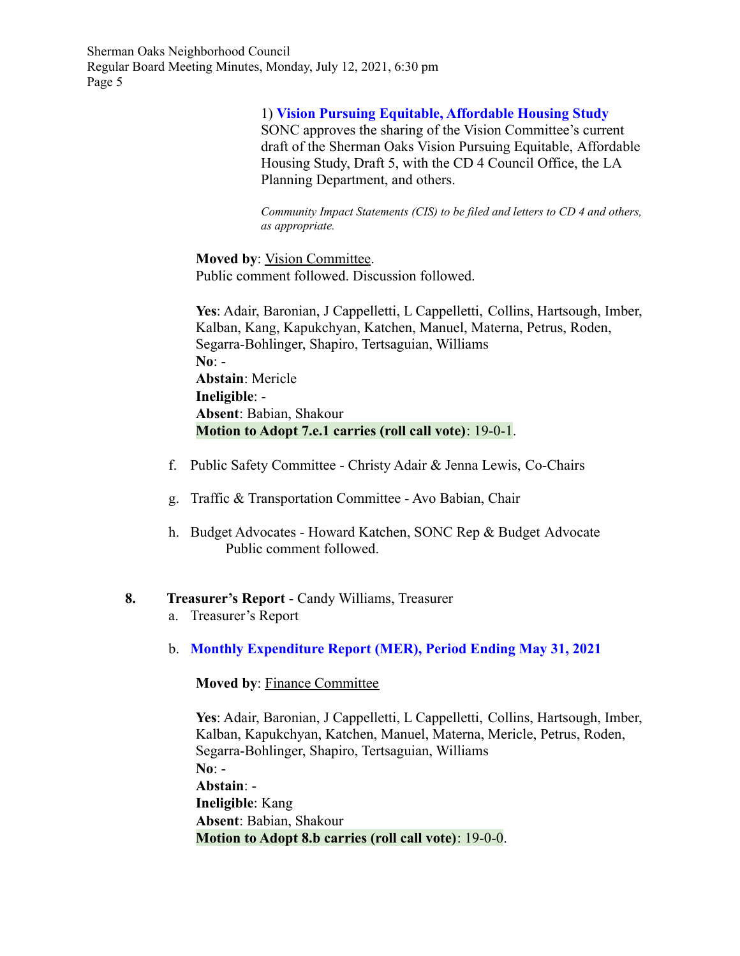#### 1) **Vision Pursuing Equitable, Affordable Housing Study**

SONC approves the sharing of the Vision Committee's current draft of the Sherman Oaks Vision Pursuing Equitable, Affordable Housing Study, Draft 5, with the CD 4 Council Office, the LA Planning Department, and others.

*Community Impact Statements (CIS) to be filed and letters to CD 4 and others, as appropriate.*

**Moved by**: Vision Committee. Public comment followed. Discussion followed.

**Yes**: Adair, Baronian, J Cappelletti, L Cappelletti, Collins, Hartsough, Imber, Kalban, Kang, Kapukchyan, Katchen, Manuel, Materna, Petrus, Roden, Segarra-Bohlinger, Shapiro, Tertsaguian, Williams **No**: - **Abstain**: Mericle **Ineligible**: - **Absent**: Babian, Shakour **Motion to Adopt 7.e.1 carries (roll call vote)**: 19-0-1.

- f. Public Safety Committee Christy Adair & Jenna Lewis, Co-Chairs
- g. Traffic & Transportation Committee Avo Babian, Chair
- h. Budget Advocates Howard Katchen, SONC Rep & Budget Advocate Public comment followed.

## **8. Treasurer's Report** - Candy Williams, Treasurer

- a. Treasurer's Report
- b. **Monthly Expenditure Report (MER), Period Ending May 31, 2021**

**Moved by**: Finance Committee

**Yes**: Adair, Baronian, J Cappelletti, L Cappelletti, Collins, Hartsough, Imber, Kalban, Kapukchyan, Katchen, Manuel, Materna, Mericle, Petrus, Roden, Segarra-Bohlinger, Shapiro, Tertsaguian, Williams **No**: - **Abstain**: - **Ineligible**: Kang **Absent**: Babian, Shakour

**Motion to Adopt 8.b carries (roll call vote)**: 19-0-0.